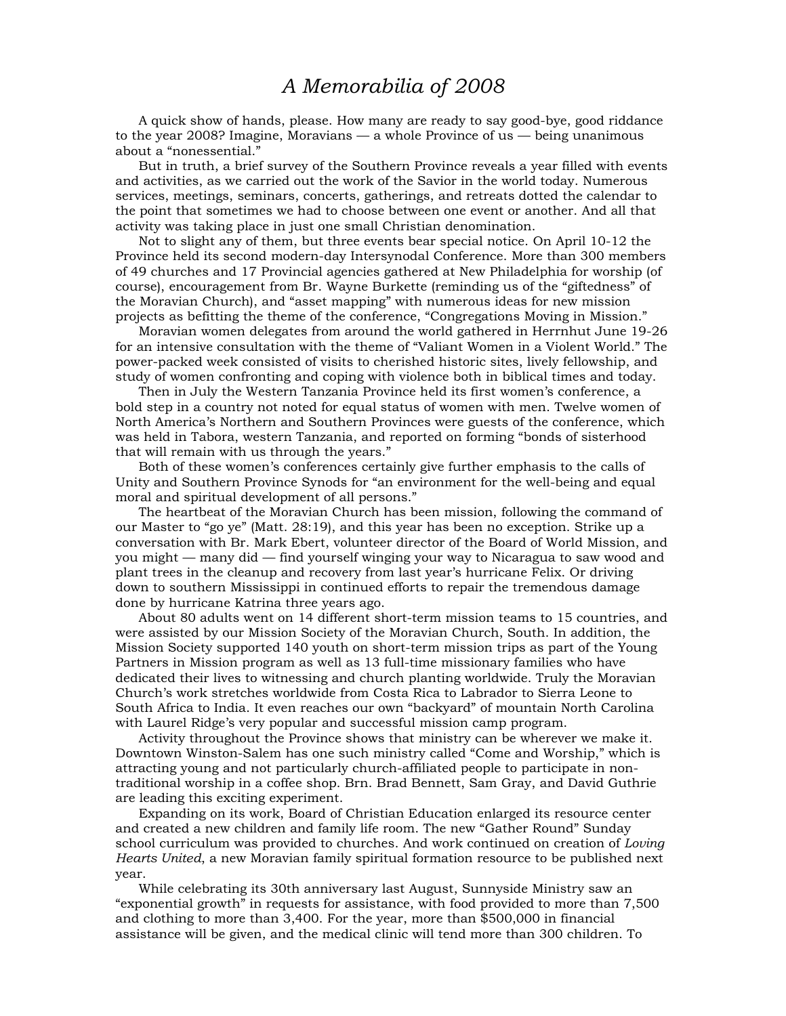## *A Memorabilia of 2008*

 A quick show of hands, please. How many are ready to say good-bye, good riddance to the year 2008? Imagine, Moravians — a whole Province of us — being unanimous about a "nonessential."

 But in truth, a brief survey of the Southern Province reveals a year filled with events and activities, as we carried out the work of the Savior in the world today. Numerous services, meetings, seminars, concerts, gatherings, and retreats dotted the calendar to the point that sometimes we had to choose between one event or another. And all that activity was taking place in just one small Christian denomination.

 Not to slight any of them, but three events bear special notice. On April 10-12 the Province held its second modern-day Intersynodal Conference. More than 300 members of 49 churches and 17 Provincial agencies gathered at New Philadelphia for worship (of course), encouragement from Br. Wayne Burkette (reminding us of the "giftedness" of the Moravian Church), and "asset mapping" with numerous ideas for new mission projects as befitting the theme of the conference, "Congregations Moving in Mission."

 Moravian women delegates from around the world gathered in Herrnhut June 19-26 for an intensive consultation with the theme of "Valiant Women in a Violent World." The power-packed week consisted of visits to cherished historic sites, lively fellowship, and study of women confronting and coping with violence both in biblical times and today.

 Then in July the Western Tanzania Province held its first women's conference, a bold step in a country not noted for equal status of women with men. Twelve women of North America's Northern and Southern Provinces were guests of the conference, which was held in Tabora, western Tanzania, and reported on forming "bonds of sisterhood that will remain with us through the years."

 Both of these women's conferences certainly give further emphasis to the calls of Unity and Southern Province Synods for "an environment for the well-being and equal moral and spiritual development of all persons."

 The heartbeat of the Moravian Church has been mission, following the command of our Master to "go ye" (Matt. 28:19), and this year has been no exception. Strike up a conversation with Br. Mark Ebert, volunteer director of the Board of World Mission, and you might — many did — find yourself winging your way to Nicaragua to saw wood and plant trees in the cleanup and recovery from last year's hurricane Felix. Or driving down to southern Mississippi in continued efforts to repair the tremendous damage done by hurricane Katrina three years ago.

 About 80 adults went on 14 different short-term mission teams to 15 countries, and were assisted by our Mission Society of the Moravian Church, South. In addition, the Mission Society supported 140 youth on short-term mission trips as part of the Young Partners in Mission program as well as 13 full-time missionary families who have dedicated their lives to witnessing and church planting worldwide. Truly the Moravian Church's work stretches worldwide from Costa Rica to Labrador to Sierra Leone to South Africa to India. It even reaches our own "backyard" of mountain North Carolina with Laurel Ridge's very popular and successful mission camp program.

 Activity throughout the Province shows that ministry can be wherever we make it. Downtown Winston-Salem has one such ministry called "Come and Worship," which is attracting young and not particularly church-affiliated people to participate in nontraditional worship in a coffee shop. Brn. Brad Bennett, Sam Gray, and David Guthrie are leading this exciting experiment.

 Expanding on its work, Board of Christian Education enlarged its resource center and created a new children and family life room. The new "Gather Round" Sunday school curriculum was provided to churches. And work continued on creation of *Loving Hearts United*, a new Moravian family spiritual formation resource to be published next year.

 While celebrating its 30th anniversary last August, Sunnyside Ministry saw an "exponential growth" in requests for assistance, with food provided to more than 7,500 and clothing to more than 3,400. For the year, more than \$500,000 in financial assistance will be given, and the medical clinic will tend more than 300 children. To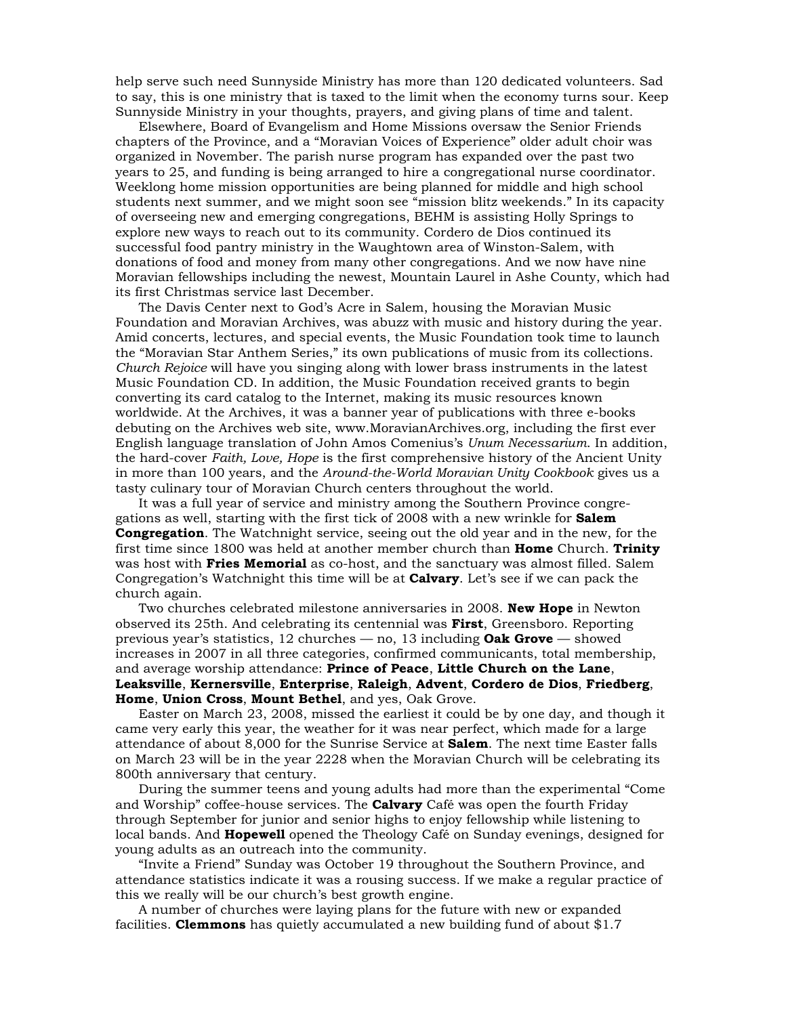help serve such need Sunnyside Ministry has more than 120 dedicated volunteers. Sad to say, this is one ministry that is taxed to the limit when the economy turns sour. Keep Sunnyside Ministry in your thoughts, prayers, and giving plans of time and talent.

 Elsewhere, Board of Evangelism and Home Missions oversaw the Senior Friends chapters of the Province, and a "Moravian Voices of Experience" older adult choir was organized in November. The parish nurse program has expanded over the past two years to 25, and funding is being arranged to hire a congregational nurse coordinator. Weeklong home mission opportunities are being planned for middle and high school students next summer, and we might soon see "mission blitz weekends." In its capacity of overseeing new and emerging congregations, BEHM is assisting Holly Springs to explore new ways to reach out to its community. Cordero de Dios continued its successful food pantry ministry in the Waughtown area of Winston-Salem, with donations of food and money from many other congregations. And we now have nine Moravian fellowships including the newest, Mountain Laurel in Ashe County, which had its first Christmas service last December.

 The Davis Center next to God's Acre in Salem, housing the Moravian Music Foundation and Moravian Archives, was abuzz with music and history during the year. Amid concerts, lectures, and special events, the Music Foundation took time to launch the "Moravian Star Anthem Series," its own publications of music from its collections. *Church Rejoice* will have you singing along with lower brass instruments in the latest Music Foundation CD. In addition, the Music Foundation received grants to begin converting its card catalog to the Internet, making its music resources known worldwide. At the Archives, it was a banner year of publications with three e-books debuting on the Archives web site, www.MoravianArchives.org, including the first ever English language translation of John Amos Comenius's *Unum Necessarium*. In addition, the hard-cover *Faith, Love, Hope* is the first comprehensive history of the Ancient Unity in more than 100 years, and the *Around-the-World Moravian Unity Cookbook* gives us a tasty culinary tour of Moravian Church centers throughout the world.

 It was a full year of service and ministry among the Southern Province congregations as well, starting with the first tick of 2008 with a new wrinkle for **Salem Congregation**. The Watchnight service, seeing out the old year and in the new, for the first time since 1800 was held at another member church than **Home** Church. **Trinity** was host with **Fries Memorial** as co-host, and the sanctuary was almost filled. Salem Congregation's Watchnight this time will be at **Calvary**. Let's see if we can pack the church again.

 Two churches celebrated milestone anniversaries in 2008. **New Hope** in Newton observed its 25th. And celebrating its centennial was **First**, Greensboro. Reporting previous year's statistics, 12 churches — no, 13 including **Oak Grove** — showed increases in 2007 in all three categories, confirmed communicants, total membership, and average worship attendance: **Prince of Peace**, **Little Church on the Lane**, **Leaksville**, **Kernersville**, **Enterprise**, **Raleigh**, **Advent**, **Cordero de Dios**, **Friedberg**, **Home**, **Union Cross**, **Mount Bethel**, and yes, Oak Grove.

 Easter on March 23, 2008, missed the earliest it could be by one day, and though it came very early this year, the weather for it was near perfect, which made for a large attendance of about 8,000 for the Sunrise Service at **Salem**. The next time Easter falls on March 23 will be in the year 2228 when the Moravian Church will be celebrating its 800th anniversary that century.

 During the summer teens and young adults had more than the experimental "Come and Worship" coffee-house services. The **Calvary** Café was open the fourth Friday through September for junior and senior highs to enjoy fellowship while listening to local bands. And **Hopewell** opened the Theology Café on Sunday evenings, designed for young adults as an outreach into the community.

 "Invite a Friend" Sunday was October 19 throughout the Southern Province, and attendance statistics indicate it was a rousing success. If we make a regular practice of this we really will be our church's best growth engine.

 A number of churches were laying plans for the future with new or expanded facilities. **Clemmons** has quietly accumulated a new building fund of about \$1.7